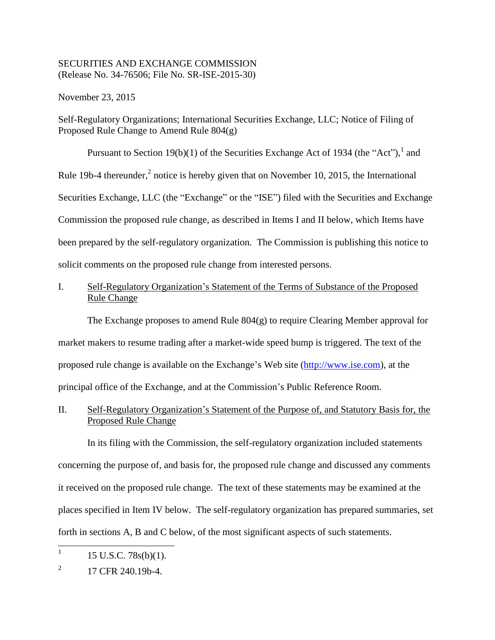#### SECURITIES AND EXCHANGE COMMISSION (Release No. 34-76506; File No. SR-ISE-2015-30)

November 23, 2015

Self-Regulatory Organizations; International Securities Exchange, LLC; Notice of Filing of Proposed Rule Change to Amend Rule 804(g)

Pursuant to Section 19(b)(1) of the Securities Exchange Act of 1934 (the "Act"), and Rule 19b-4 thereunder, $^2$  notice is hereby given that on November 10, 2015, the International Securities Exchange, LLC (the "Exchange" or the "ISE") filed with the Securities and Exchange Commission the proposed rule change, as described in Items I and II below, which Items have been prepared by the self-regulatory organization. The Commission is publishing this notice to solicit comments on the proposed rule change from interested persons.

# I. Self-Regulatory Organization's Statement of the Terms of Substance of the Proposed Rule Change

The Exchange proposes to amend Rule  $804(g)$  to require Clearing Member approval for market makers to resume trading after a market-wide speed bump is triggered. The text of the proposed rule change is available on the Exchange's Web site (http://www.ise.com), at the principal office of the Exchange, and at the Commission's Public Reference Room.

II. Self-Regulatory Organization's Statement of the Purpose of, and Statutory Basis for, the Proposed Rule Change

In its filing with the Commission, the self-regulatory organization included statements concerning the purpose of, and basis for, the proposed rule change and discussed any comments it received on the proposed rule change. The text of these statements may be examined at the places specified in Item IV below. The self-regulatory organization has prepared summaries, set forth in sections A, B and C below, of the most significant aspects of such statements.

|<br>| 15 U.S.C. 78s(b)(1).

<sup>2</sup> 17 CFR 240.19b-4.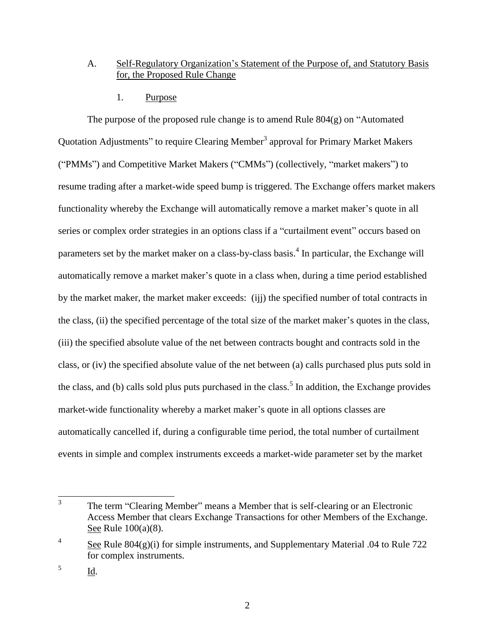# A. Self-Regulatory Organization's Statement of the Purpose of, and Statutory Basis for, the Proposed Rule Change

1. Purpose

The purpose of the proposed rule change is to amend Rule 804(g) on "Automated Quotation Adjustments" to require Clearing Member<sup>3</sup> approval for Primary Market Makers ("PMMs") and Competitive Market Makers ("CMMs") (collectively, "market makers") to resume trading after a market-wide speed bump is triggered. The Exchange offers market makers functionality whereby the Exchange will automatically remove a market maker's quote in all series or complex order strategies in an options class if a "curtailment event" occurs based on parameters set by the market maker on a class-by-class basis.<sup>4</sup> In particular, the Exchange will automatically remove a market maker's quote in a class when, during a time period established by the market maker, the market maker exceeds: (ijj) the specified number of total contracts in the class, (ii) the specified percentage of the total size of the market maker's quotes in the class, (iii) the specified absolute value of the net between contracts bought and contracts sold in the class, or (iv) the specified absolute value of the net between (a) calls purchased plus puts sold in the class, and (b) calls sold plus puts purchased in the class.<sup>5</sup> In addition, the Exchange provides market-wide functionality whereby a market maker's quote in all options classes are automatically cancelled if, during a configurable time period, the total number of curtailment events in simple and complex instruments exceeds a market-wide parameter set by the market

 3 The term "Clearing Member" means a Member that is self-clearing or an Electronic Access Member that clears Exchange Transactions for other Members of the Exchange. See Rule 100(a)(8).

<sup>4</sup> See Rule  $804(g)(i)$  for simple instruments, and Supplementary Material .04 to Rule 722 for complex instruments.

<sup>5</sup> Id.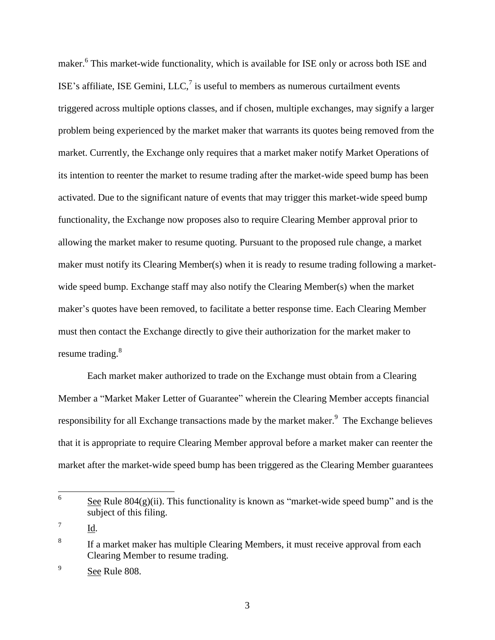maker.<sup>6</sup> This market-wide functionality, which is available for ISE only or across both ISE and ISE's affiliate, ISE Gemini, LLC, $^7$  is useful to members as numerous curtailment events triggered across multiple options classes, and if chosen, multiple exchanges, may signify a larger problem being experienced by the market maker that warrants its quotes being removed from the market. Currently, the Exchange only requires that a market maker notify Market Operations of its intention to reenter the market to resume trading after the market-wide speed bump has been activated. Due to the significant nature of events that may trigger this market-wide speed bump functionality, the Exchange now proposes also to require Clearing Member approval prior to allowing the market maker to resume quoting. Pursuant to the proposed rule change, a market maker must notify its Clearing Member(s) when it is ready to resume trading following a marketwide speed bump. Exchange staff may also notify the Clearing Member(s) when the market maker's quotes have been removed, to facilitate a better response time. Each Clearing Member must then contact the Exchange directly to give their authorization for the market maker to resume trading.<sup>8</sup>

Each market maker authorized to trade on the Exchange must obtain from a Clearing Member a "Market Maker Letter of Guarantee" wherein the Clearing Member accepts financial responsibility for all Exchange transactions made by the market maker. $\frac{9}{10}$  The Exchange believes that it is appropriate to require Clearing Member approval before a market maker can reenter the market after the market-wide speed bump has been triggered as the Clearing Member guarantees

 6 See Rule  $804(g)(ii)$ . This functionality is known as "market-wide speed bump" and is the subject of this filing.

<sup>7</sup> Id.

<sup>8</sup> If a market maker has multiple Clearing Members, it must receive approval from each Clearing Member to resume trading.

<sup>9</sup> See Rule 808.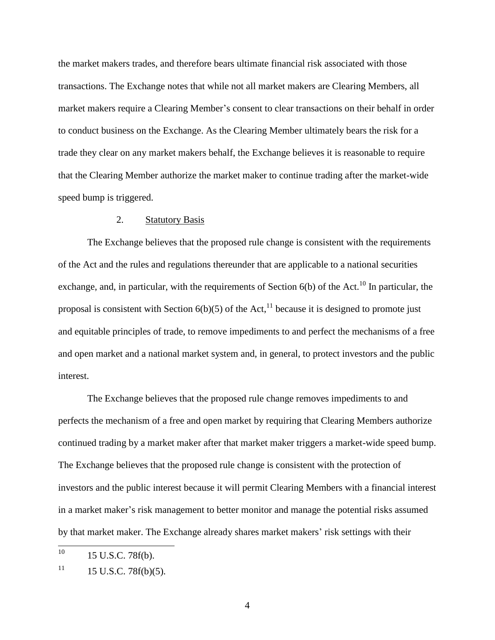the market makers trades, and therefore bears ultimate financial risk associated with those transactions. The Exchange notes that while not all market makers are Clearing Members, all market makers require a Clearing Member's consent to clear transactions on their behalf in order to conduct business on the Exchange. As the Clearing Member ultimately bears the risk for a trade they clear on any market makers behalf, the Exchange believes it is reasonable to require that the Clearing Member authorize the market maker to continue trading after the market-wide speed bump is triggered.

#### 2. Statutory Basis

The Exchange believes that the proposed rule change is consistent with the requirements of the Act and the rules and regulations thereunder that are applicable to a national securities exchange, and, in particular, with the requirements of Section  $6(b)$  of the Act.<sup>10</sup> In particular, the proposal is consistent with Section  $6(b)(5)$  of the Act,<sup>11</sup> because it is designed to promote just and equitable principles of trade, to remove impediments to and perfect the mechanisms of a free and open market and a national market system and, in general, to protect investors and the public interest.

The Exchange believes that the proposed rule change removes impediments to and perfects the mechanism of a free and open market by requiring that Clearing Members authorize continued trading by a market maker after that market maker triggers a market-wide speed bump. The Exchange believes that the proposed rule change is consistent with the protection of investors and the public interest because it will permit Clearing Members with a financial interest in a market maker's risk management to better monitor and manage the potential risks assumed by that market maker. The Exchange already shares market makers' risk settings with their

 $10<sup>10</sup>$ 15 U.S.C. 78f(b).

 $11$  15 U.S.C. 78f(b)(5).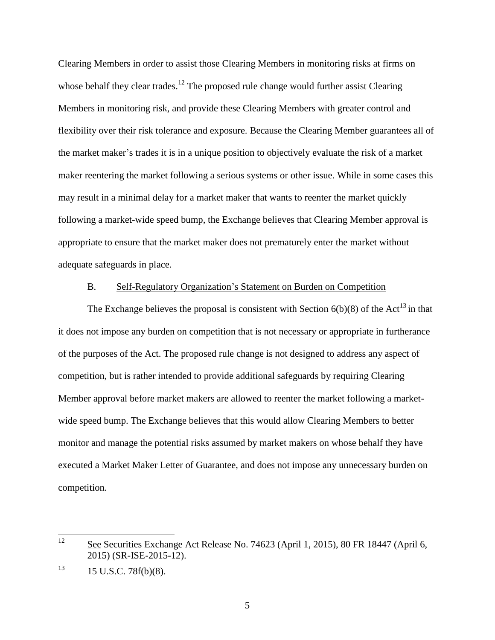Clearing Members in order to assist those Clearing Members in monitoring risks at firms on whose behalf they clear trades.<sup>12</sup> The proposed rule change would further assist Clearing Members in monitoring risk, and provide these Clearing Members with greater control and flexibility over their risk tolerance and exposure. Because the Clearing Member guarantees all of the market maker's trades it is in a unique position to objectively evaluate the risk of a market maker reentering the market following a serious systems or other issue. While in some cases this may result in a minimal delay for a market maker that wants to reenter the market quickly following a market-wide speed bump, the Exchange believes that Clearing Member approval is appropriate to ensure that the market maker does not prematurely enter the market without adequate safeguards in place.

#### B. Self-Regulatory Organization's Statement on Burden on Competition

The Exchange believes the proposal is consistent with Section  $6(b)(8)$  of the Act<sup>13</sup> in that it does not impose any burden on competition that is not necessary or appropriate in furtherance of the purposes of the Act. The proposed rule change is not designed to address any aspect of competition, but is rather intended to provide additional safeguards by requiring Clearing Member approval before market makers are allowed to reenter the market following a marketwide speed bump. The Exchange believes that this would allow Clearing Members to better monitor and manage the potential risks assumed by market makers on whose behalf they have executed a Market Maker Letter of Guarantee, and does not impose any unnecessary burden on competition.

 $12<sup>°</sup>$ See Securities Exchange Act Release No. 74623 (April 1, 2015), 80 FR 18447 (April 6, 2015) (SR-ISE-2015-12).

 $13$  15 U.S.C. 78f(b)(8).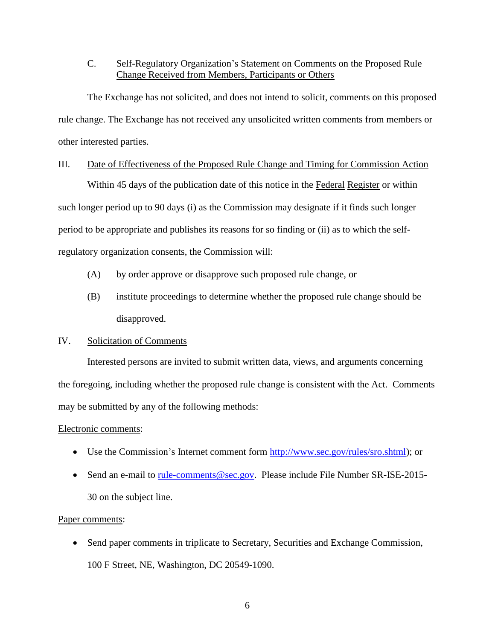## C. Self-Regulatory Organization's Statement on Comments on the Proposed Rule Change Received from Members, Participants or Others

The Exchange has not solicited, and does not intend to solicit, comments on this proposed rule change. The Exchange has not received any unsolicited written comments from members or other interested parties.

#### III. Date of Effectiveness of the Proposed Rule Change and Timing for Commission Action

Within 45 days of the publication date of this notice in the Federal Register or within such longer period up to 90 days (i) as the Commission may designate if it finds such longer period to be appropriate and publishes its reasons for so finding or (ii) as to which the selfregulatory organization consents, the Commission will:

- (A) by order approve or disapprove such proposed rule change, or
- (B) institute proceedings to determine whether the proposed rule change should be disapproved.

## IV. Solicitation of Comments

Interested persons are invited to submit written data, views, and arguments concerning the foregoing, including whether the proposed rule change is consistent with the Act. Comments may be submitted by any of the following methods:

## Electronic comments:

- Use the Commission's Internet comment form http://www.sec.gov/rules/sro.shtml); or
- Send an e-mail to rule-comments@sec.gov. Please include File Number SR-ISE-2015-30 on the subject line.

## Paper comments:

• Send paper comments in triplicate to Secretary, Securities and Exchange Commission, 100 F Street, NE, Washington, DC 20549-1090.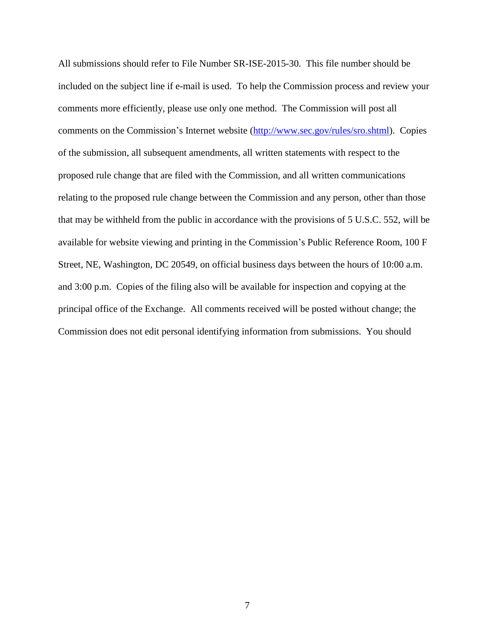All submissions should refer to File Number SR-ISE-2015-30. This file number should be included on the subject line if e-mail is used. To help the Commission process and review your comments more efficiently, please use only one method. The Commission will post all comments on the Commission's Internet website (http://www.sec.gov/rules/sro.shtml). Copies of the submission, all subsequent amendments, all written statements with respect to the proposed rule change that are filed with the Commission, and all written communications relating to the proposed rule change between the Commission and any person, other than those that may be withheld from the public in accordance with the provisions of 5 U.S.C. 552, will be available for website viewing and printing in the Commission's Public Reference Room, 100 F Street, NE, Washington, DC 20549, on official business days between the hours of 10:00 a.m. and 3:00 p.m. Copies of the filing also will be available for inspection and copying at the principal office of the Exchange. All comments received will be posted without change; the Commission does not edit personal identifying information from submissions. You should